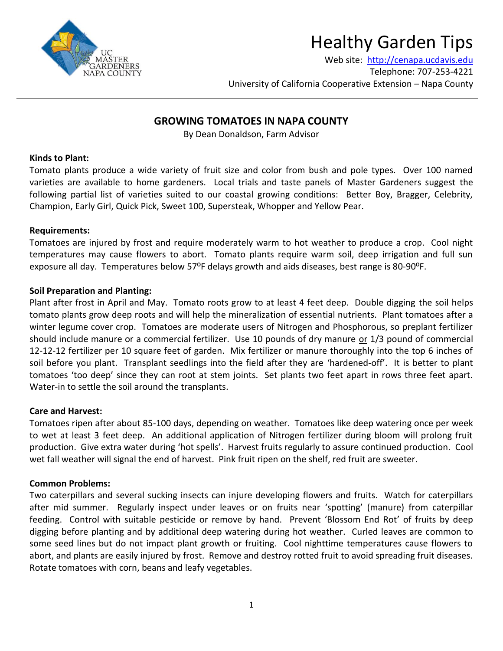

# Healthy Garden Tips

Web site: [http://cenapa.ucdavis.edu](http://cenapa.ucdavis.edu/) Telephone: 707-253-4221 University of California Cooperative Extension – Napa County

# **GROWING TOMATOES IN NAPA COUNTY**

By Dean Donaldson, Farm Advisor

# **Kinds to Plant:**

Tomato plants produce a wide variety of fruit size and color from bush and pole types. Over 100 named varieties are available to home gardeners. Local trials and taste panels of Master Gardeners suggest the following partial list of varieties suited to our coastal growing conditions: Better Boy, Bragger, Celebrity, Champion, Early Girl, Quick Pick, Sweet 100, Supersteak, Whopper and Yellow Pear.

#### **Requirements:**

Tomatoes are injured by frost and require moderately warm to hot weather to produce a crop. Cool night temperatures may cause flowers to abort. Tomato plants require warm soil, deep irrigation and full sun exposure all day. Temperatures below 57<sup>o</sup>F delays growth and aids diseases, best range is 80-90<sup>o</sup>F.

#### **Soil Preparation and Planting:**

Plant after frost in April and May. Tomato roots grow to at least 4 feet deep. Double digging the soil helps tomato plants grow deep roots and will help the mineralization of essential nutrients. Plant tomatoes after a winter legume cover crop. Tomatoes are moderate users of Nitrogen and Phosphorous, so preplant fertilizer should include manure or a commercial fertilizer. Use 10 pounds of dry manure or 1/3 pound of commercial 12-12-12 fertilizer per 10 square feet of garden. Mix fertilizer or manure thoroughly into the top 6 inches of soil before you plant. Transplant seedlings into the field after they are 'hardened-off'. It is better to plant tomatoes 'too deep' since they can root at stem joints. Set plants two feet apart in rows three feet apart. Water-in to settle the soil around the transplants.

# **Care and Harvest:**

Tomatoes ripen after about 85-100 days, depending on weather. Tomatoes like deep watering once per week to wet at least 3 feet deep. An additional application of Nitrogen fertilizer during bloom will prolong fruit production. Give extra water during 'hot spells'. Harvest fruits regularly to assure continued production. Cool wet fall weather will signal the end of harvest. Pink fruit ripen on the shelf, red fruit are sweeter.

# **Common Problems:**

Two caterpillars and several sucking insects can injure developing flowers and fruits. Watch for caterpillars after mid summer. Regularly inspect under leaves or on fruits near 'spotting' (manure) from caterpillar feeding. Control with suitable pesticide or remove by hand. Prevent 'Blossom End Rot' of fruits by deep digging before planting and by additional deep watering during hot weather. Curled leaves are common to some seed lines but do not impact plant growth or fruiting. Cool nighttime temperatures cause flowers to abort, and plants are easily injured by frost. Remove and destroy rotted fruit to avoid spreading fruit diseases. Rotate tomatoes with corn, beans and leafy vegetables.